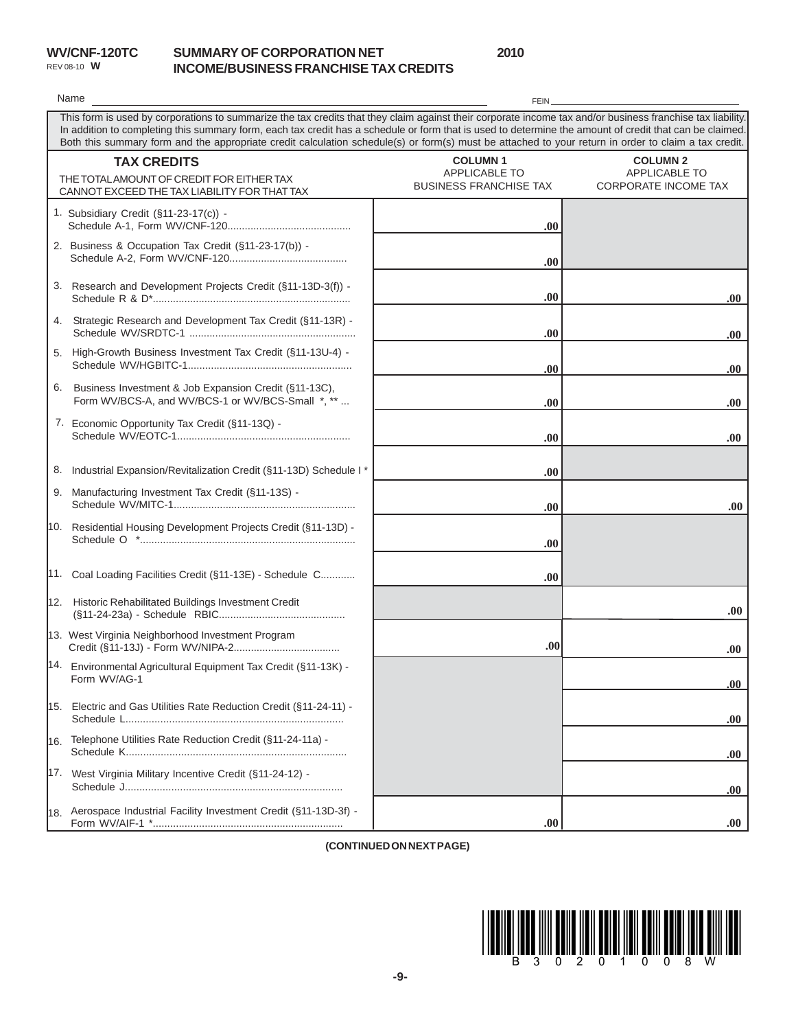|                    | <b>WV/CNF-120TO</b> |
|--------------------|---------------------|
| REV 08-10 <b>W</b> |                     |

## **WBC SUMMARY OF CORPORATION NET INCOME/BUSINESS FRANCHISE TAX CREDITS**

**2010**

|                                                                                                                                                                                                                                                                                                                                                                                                                                                                               | Name                                                                                                            | FEIN                                                             |                                                                 |  |
|-------------------------------------------------------------------------------------------------------------------------------------------------------------------------------------------------------------------------------------------------------------------------------------------------------------------------------------------------------------------------------------------------------------------------------------------------------------------------------|-----------------------------------------------------------------------------------------------------------------|------------------------------------------------------------------|-----------------------------------------------------------------|--|
| This form is used by corporations to summarize the tax credits that they claim against their corporate income tax and/or business franchise tax liability.<br>In addition to completing this summary form, each tax credit has a schedule or form that is used to determine the amount of credit that can be claimed.<br>Both this summary form and the appropriate credit calculation schedule(s) or form(s) must be attached to your return in order to claim a tax credit. |                                                                                                                 |                                                                  |                                                                 |  |
|                                                                                                                                                                                                                                                                                                                                                                                                                                                                               | <b>TAX CREDITS</b><br>THE TOTAL AMOUNT OF CREDIT FOR EITHER TAX<br>CANNOT EXCEED THE TAX LIABILITY FOR THAT TAX | <b>COLUMN1</b><br>APPLICABLE TO<br><b>BUSINESS FRANCHISE TAX</b> | <b>COLUMN 2</b><br>APPLICABLE TO<br><b>CORPORATE INCOME TAX</b> |  |
|                                                                                                                                                                                                                                                                                                                                                                                                                                                                               | 1. Subsidiary Credit (§11-23-17(c)) -                                                                           | .00.                                                             |                                                                 |  |
|                                                                                                                                                                                                                                                                                                                                                                                                                                                                               | 2. Business & Occupation Tax Credit (§11-23-17(b)) -                                                            | .00.                                                             |                                                                 |  |
|                                                                                                                                                                                                                                                                                                                                                                                                                                                                               | 3. Research and Development Projects Credit (§11-13D-3(f)) -                                                    | .00                                                              | .00.                                                            |  |
| 4.                                                                                                                                                                                                                                                                                                                                                                                                                                                                            | Strategic Research and Development Tax Credit (§11-13R) -                                                       | .00.                                                             | .00.                                                            |  |
|                                                                                                                                                                                                                                                                                                                                                                                                                                                                               | 5. High-Growth Business Investment Tax Credit (§11-13U-4) -                                                     | .00.                                                             | .00                                                             |  |
| 6.                                                                                                                                                                                                                                                                                                                                                                                                                                                                            | Business Investment & Job Expansion Credit (§11-13C),<br>Form WV/BCS-A, and WV/BCS-1 or WV/BCS-Small *, **      | .00.                                                             | .00.                                                            |  |
|                                                                                                                                                                                                                                                                                                                                                                                                                                                                               | 7. Economic Opportunity Tax Credit (§11-13Q) -                                                                  | .00                                                              | .00.                                                            |  |
| 8.                                                                                                                                                                                                                                                                                                                                                                                                                                                                            | Industrial Expansion/Revitalization Credit (§11-13D) Schedule I *                                               | .00.                                                             |                                                                 |  |
| 9.                                                                                                                                                                                                                                                                                                                                                                                                                                                                            | Manufacturing Investment Tax Credit (§11-13S) -                                                                 | .00.                                                             | .00.                                                            |  |
|                                                                                                                                                                                                                                                                                                                                                                                                                                                                               | 10. Residential Housing Development Projects Credit (§11-13D) -                                                 | .00.                                                             |                                                                 |  |
|                                                                                                                                                                                                                                                                                                                                                                                                                                                                               | 11. Coal Loading Facilities Credit (§11-13E) - Schedule C                                                       | .00.                                                             |                                                                 |  |
|                                                                                                                                                                                                                                                                                                                                                                                                                                                                               | 12. Historic Rehabilitated Buildings Investment Credit                                                          |                                                                  | .00.                                                            |  |
|                                                                                                                                                                                                                                                                                                                                                                                                                                                                               | 13. West Virginia Neighborhood Investment Program                                                               | .00.                                                             | .00.                                                            |  |
|                                                                                                                                                                                                                                                                                                                                                                                                                                                                               | 14. Environmental Agricultural Equipment Tax Credit (§11-13K) -<br>Form WV/AG-1                                 |                                                                  | .00                                                             |  |
|                                                                                                                                                                                                                                                                                                                                                                                                                                                                               | 15. Electric and Gas Utilities Rate Reduction Credit (§11-24-11) -                                              |                                                                  | .00.                                                            |  |
| l16.                                                                                                                                                                                                                                                                                                                                                                                                                                                                          | Telephone Utilities Rate Reduction Credit (§11-24-11a) -                                                        |                                                                  | .00.                                                            |  |
|                                                                                                                                                                                                                                                                                                                                                                                                                                                                               | 17. West Virginia Military Incentive Credit (§11-24-12) -                                                       |                                                                  | .00.                                                            |  |
|                                                                                                                                                                                                                                                                                                                                                                                                                                                                               | 18. Aerospace Industrial Facility Investment Credit (§11-13D-3f) -                                              | .00.                                                             | .00.                                                            |  |

**(CONTINUED ON NEXT PAGE)**